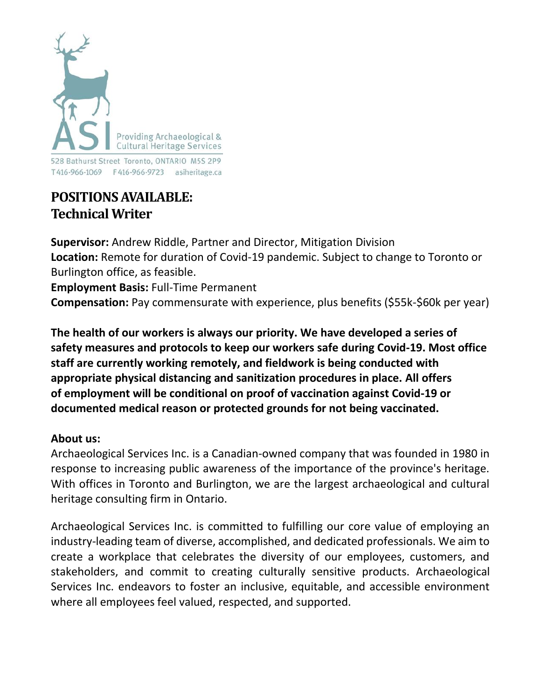

# **POSITIONSAVAILABLE: Technical Writer**

**Supervisor:** Andrew Riddle, Partner and Director, Mitigation Division **Location:** Remote for duration of Covid-19 pandemic. Subject to change to Toronto or Burlington office, as feasible.

**Employment Basis:** Full-Time Permanent

**Compensation:** Pay commensurate with experience, plus benefits (\$55k-\$60k per year)

**The health of our workers is always our priority. We have developed a series of safety measures and protocols to keep our workers safe during Covid-19. Most office staff are currently working remotely, and fieldwork is being conducted with appropriate physical distancing and sanitization procedures in place. All offers of employment will be conditional on proof of vaccination against Covid-19 or documented medical reason or protected grounds for not being vaccinated.**

### **About us:**

Archaeological Services Inc. is a Canadian-owned company that was founded in 1980 in response to increasing public awareness of the importance of the province's heritage. With offices in Toronto and Burlington, we are the largest archaeological and cultural heritage consulting firm in Ontario.

Archaeological Services Inc. is committed to fulfilling our core value of employing an industry-leading team of diverse, accomplished, and dedicated professionals. We aim to create a workplace that celebrates the diversity of our employees, customers, and stakeholders, and commit to creating culturally sensitive products. Archaeological Services Inc. endeavors to foster an inclusive, equitable, and accessible environment where all employees feel valued, respected, and supported.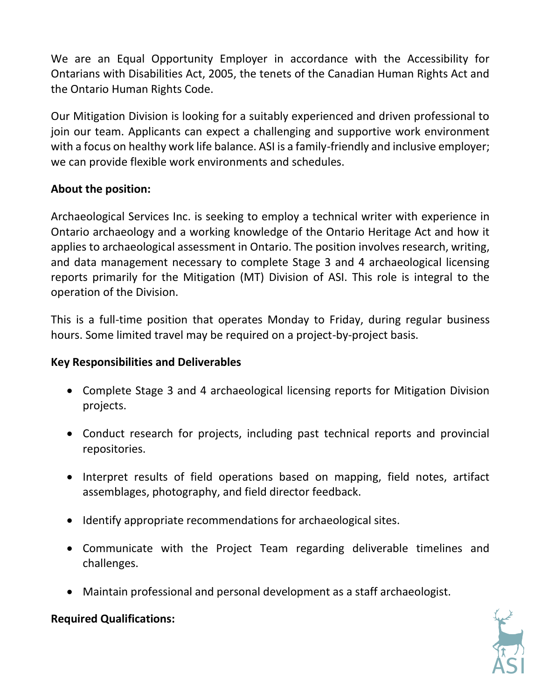We are an Equal Opportunity Employer in accordance with the Accessibility for Ontarians with Disabilities Act, 2005, the tenets of the Canadian Human Rights Act and the Ontario Human Rights Code.

Our Mitigation Division is looking for a suitably experienced and driven professional to join our team. Applicants can expect a challenging and supportive work environment with a focus on healthy work life balance. ASI is a family-friendly and inclusive employer; we can provide flexible work environments and schedules.

# **About the position:**

Archaeological Services Inc. is seeking to employ a technical writer with experience in Ontario archaeology and a working knowledge of the Ontario Heritage Act and how it applies to archaeological assessment in Ontario. The position involves research, writing, and data management necessary to complete Stage 3 and 4 archaeological licensing reports primarily for the Mitigation (MT) Division of ASI. This role is integral to the operation of the Division.

This is a full-time position that operates Monday to Friday, during regular business hours. Some limited travel may be required on a project-by-project basis.

### **Key Responsibilities and Deliverables**

- Complete Stage 3 and 4 archaeological licensing reports for Mitigation Division projects.
- Conduct research for projects, including past technical reports and provincial repositories.
- Interpret results of field operations based on mapping, field notes, artifact assemblages, photography, and field director feedback.
- Identify appropriate recommendations for archaeological sites.
- Communicate with the Project Team regarding deliverable timelines and challenges.
- Maintain professional and personal development as a staff archaeologist.

### **Required Qualifications:**